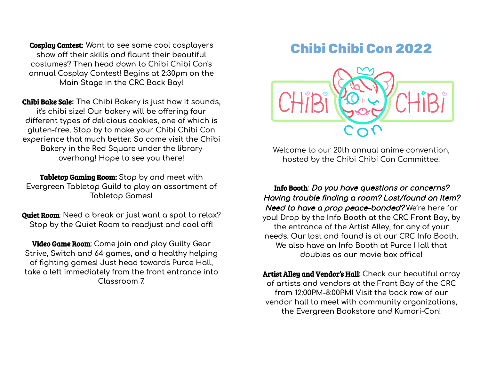Cosplay Contest**: Want to see some cool cosplayers show off their skills and flaunt their beautiful costumes? Then head down to Chibi Chibi Con's annual Cosplay Contest! Begins at 2:30pm on the Main Stage in the CRC Back Bay!**

Chibi Bake Sale**: The Chibi Bakery is just how it sounds, it's chibi size! Our bakery will be offering four different types of delicious cookies, one of which is gluten-free. Stop by to make your Chibi Chibi Con experience that much better. So come visit the Chibi Bakery in the Red Square under the library overhang! Hope to see you there!**

Tabletop Gaming Room: **Stop by and meet with Evergreen Tabletop Guild to play an assortment of Tabletop Games!**

Quiet Room**: Need a break or just want a spot to relax? Stop by the Quiet Room to readjust and cool off!**

Video Game Room**: Come join and play Guilty Gear Strive, Switch and 64 games, and a healthy helping of fighting games! Just head towards Purce Hall, take a left immediately from the front entrance into Classroom 7.**

## **Chibi Chibi Con 2022**



Welcome to our 20th annual anime convention, hosted by the Chibi Chibi Con Committee!

Info Booth: Do you have questions or concerns? Having trouble finding <sup>a</sup> room? Lost/found an item? Need to have <sup>a</sup> prop peace-bonded? **We're here for you! Drop by the Info Booth at the CRC Front Bay, by the entrance of the Artist Alley, for any of your needs. Our lost and found is at our CRC Info Booth. We also have an Info Booth at Purce Hall that doubles as our movie box office!**

Artist Alley and Vendor's Hall**: Check our beautiful array of artists and vendors at the Front Bay of the CRC from 12:00PM-8:00PM! Visit the back row of our vendor hall to meet with community organizations, the Evergreen Bookstore and Kumori-Con!**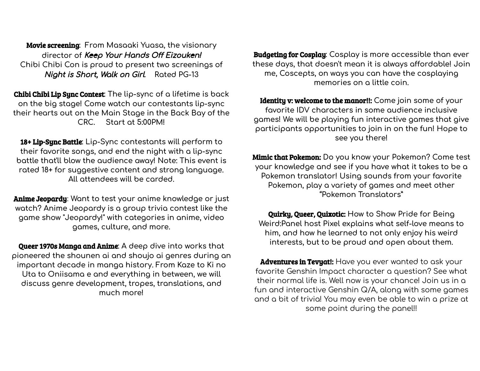Movie screening**: From Masaaki Yuasa, the visionary director of** Keep Your Hands Off Eizouken! **Chibi Chibi Con is proud to present two screenings of** Night is Short, Walk on Girl**. Rated PG-13**

Chibi Chibi Lip Sync Contest**: The lip-sync of a lifetime is back on the big stage! Come watch our contestants lip-sync their hearts out on the Main Stage in the Back Bay of the CRC. Start at 5:00PM!**

18+ Lip-Sync Battle**: Lip-Sync contestants will perform to their favorite songs, and end the night with a lip-sync battle that'll blow the audience away! Note: This event is rated 18+ for suggestive content and strong language. All attendees will be carded.**

Anime Jeopardy: **Want to test your anime knowledge or just watch? Anime Jeopardy is a group trivia contest like the game show "Jeopardy!" with categories in anime, video games, culture, and more.**

Queer 1970s Manga and Anime**: A deep dive into works that pioneered the shounen ai and shoujo ai genres during an important decade in manga history. From Kaze to Ki no Uta to Oniisama e and everything in between, we will discuss genre development, tropes, translations, and much more!**

Budgeting for Cosplay**: Cosplay is more accessible than ever these days, that doesn't mean it is always affordable! Join me, Coscepts, on ways you can have the cosplaying memories on a little coin.**

Identity v: welcome to the manor!!: **Come join some of your favorite IDV characters in some audience inclusive games! We will be playing fun interactive games that give participants opportunities to join in on the fun! Hope to see you there!**

Mimic that Pokemon: **Do you know your Pokemon? Come test your knowledge and see if you have what it takes to be a Pokemon translator! Using sounds from your favorite Pokemon, play a variety of games and meet other "Pokemon Translators"**

Quirky, Queer, Quixotic: **How to Show Pride for Being Weird:Panel host Pixel explains what self-love means to him, and how he learned to not only enjoy his weird interests, but to be proud and open about them.**

Adventures in Tevyat!: Have you ever wanted to ask your favorite Genshin Impact character a question? See what their normal life is. Well now is your chance! Join us in a fun and interactive Genshin Q/A, along with some games and a bit of trivia! You may even be able to win a prize at some point during the panel!!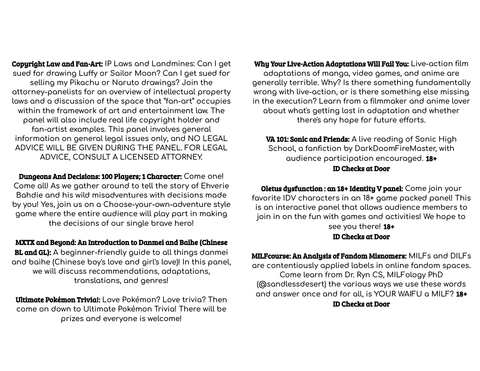Copyright Law and Fan-Art: **IP Laws and Landmines: Can I get sued for drawing Luffy or Sailor Moon? Can I get sued for selling my Pikachu or Naruto drawings? Join the attorney-panelists for an overview of intellectual property laws and a discussion of the space that "fan-art" occupies within the framework of art and entertainment law. The panel will also include real life copyright holder and fan-artist examples. This panel involves general information on general legal issues only, and NO LEGAL ADVICE WILL BE GIVEN DURING THE PANEL. FOR LEGAL ADVICE, CONSULT A LICENSED ATTORNEY.**

Dungeons And Decisions: 100 Players; 1 Character: **Come one! Come all! As we gather around to tell the story of Ehverie Bahdie and his wild misadventures with decisions made by you! Yes, join us on a Choose-your-own-adventure style game where the entire audience will play part in making the decisions of our single brave hero!**

MXTX and Beyond: An Introduction to Danmei and Baihe (Chinese BL and GL): **A beginner-friendly guide to all things danmei and baihe (Chinese boy's love and girl's love)! In this panel, we will discuss recommendations, adaptations, translations, and genres!**

Ultimate Pokémon Trivia!: **Love Pokémon? Love trivia? Then come on down to Ultimate Pokémon Trivia! There will be prizes and everyone is welcome!**

Why Your Live-Action Adaptations Will Fail You: **Live-action film adaptations of manga, video games, and anime are generally terrible. Why? Is there something fundamentally wrong with live-action, or is there something else missing in the execution? Learn from a filmmaker and anime lover about what's getting lost in adaptation and whether there's any hope for future efforts.**

VA 101: Sonic and Friends: **A live reading of Sonic High School, a fanfiction by DarkDoomFireMaster, with audience participation encouraged.** 18+ ID Checks at Door

Oletus dysfunction : an 18+ Identity V panel: **Come join your favorite IDV characters in an 18+ game packed panel! This is an interactive panel that allows audience members to join in on the fun with games and activities! We hope to see you there!** 18+ ID Checks at Door

MILFcourse: An Analysis of Fandom Misnomers: **MILFs and DILFs are contentiously applied labels in online fandom spaces. Come learn from Dr. Ryn CS, MILFology PhD (@sandlessdesert) the various ways we use these words and answer once and for all, is YOUR WAIFU a MILF?** 18+ ID Checks at Door